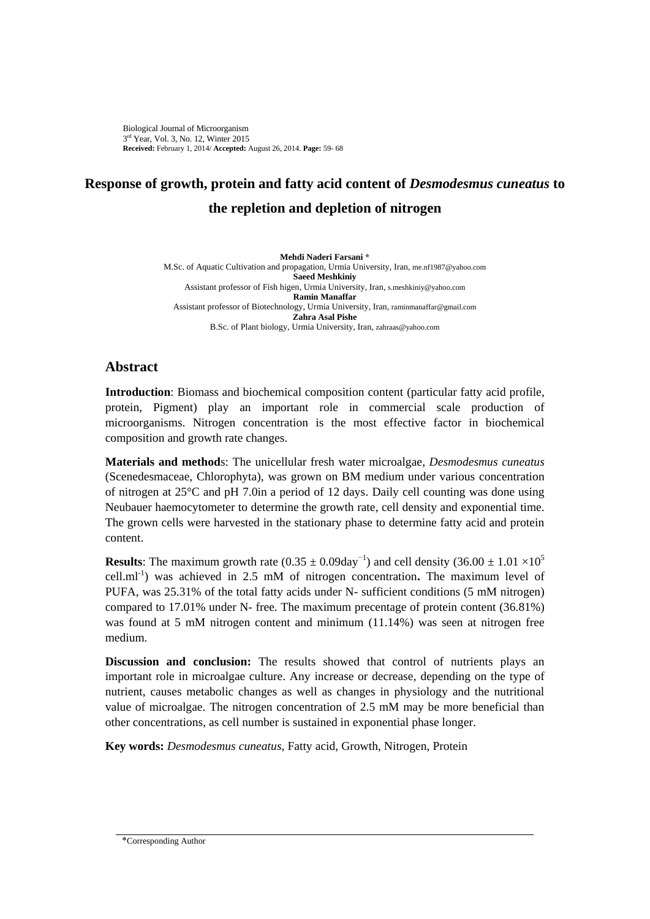Biological Journal of Microorganism 3<sup>rd</sup> Year, Vol. 3, No. 12, Winter 2015 **Received:** February 1, 2014/ **Accepted:** August 26, 2014. **Page:** 59- 68

## **Response of growth, protein and fatty acid content of** *Desmodesmus cuneatus* **to the repletion and depletion of nitrogen**

**Mehdi Naderi Farsani \*** M.Sc. of Aquatic Cultivation and propagation, Urmia University, Iran, me.nf1987@yahoo.com **Saeed Meshkiniy** Assistant professor of Fish higen, Urmia University, Iran, s.meshkiniy@yahoo.com **Ramin Manaffar** Assistant professor of Biotechnology, Urmia University, Iran, raminmanaffar@gmail.com **Zahra Asal Pishe** B.Sc. of Plant biology, Urmia University, Iran, zahraas@yahoo.com

## **Abstract**

**Introduction**: Biomass and biochemical composition content (particular fatty acid profile, protein, Pigment) play an important role in commercial scale production of microorganisms. Nitrogen concentration is the most effective factor in biochemical composition and growth rate changes.

**Materials and method**s: The unicellular fresh water microalgae, *Desmodesmus cuneatus* [\(Scenedesmaceae,](http://www.algaebase.org/browse/taxonomy/?id=4953) Chlorophyta), was grown on BM medium under various concentration of nitrogen at 25°C and pH 7.0in a period of 12 days. Daily cell counting was done using Neubauer haemocytometer to determine the growth rate, cell density and exponential time. The grown cells were harvested in the stationary phase to determine fatty acid and protein content.

**Results**: The maximum growth rate  $(0.35 \pm 0.09 \text{day}^{-1})$  and cell density  $(36.00 \pm 1.01 \times 10^5$ cell.ml-1 ) was achieved in 2.5 mM of nitrogen concentration**.** The maximum level of PUFA, was 25.31% of the total fatty acids under N- sufficient conditions (5 mM nitrogen) compared to 17.01% under N- free. The maximum precentage of protein content (36.81%) was found at 5 mM nitrogen content and minimum (11.14%) was seen at nitrogen free medium.

**Discussion and conclusion:** The results showed that control of nutrients plays an important role in microalgae culture. Any increase or decrease, depending on the type of nutrient, causes metabolic changes as well as changes in physiology and the nutritional value of microalgae. The nitrogen concentration of 2.5 mM may be more beneficial than other concentrations, as cell number is sustained in exponential phase longer.

**Key words:** *Desmodesmus cuneatus*, Fatty acid, Growth, Nitrogen, Protein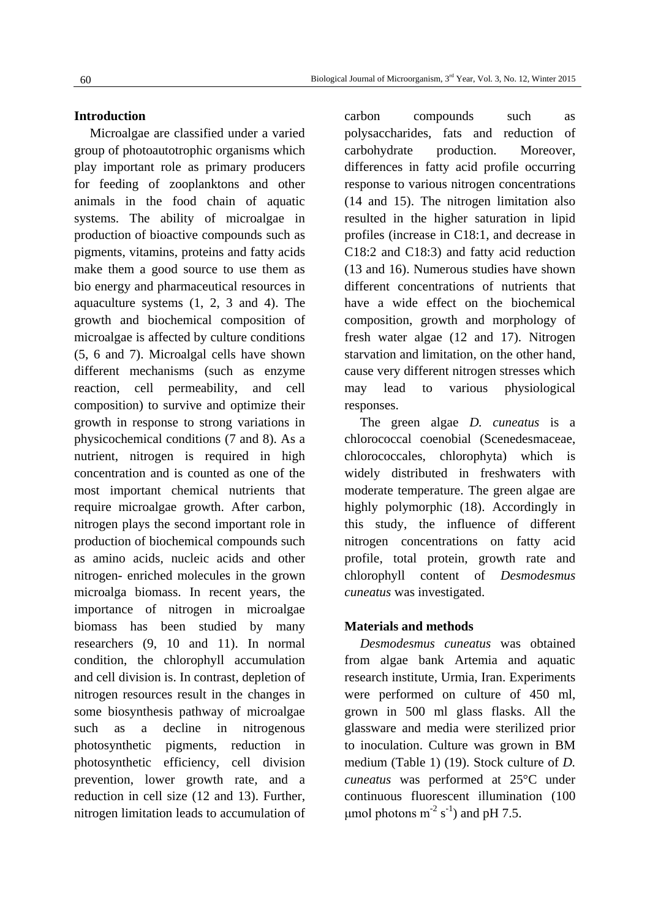#### **Introduction**

Microalgae are classified under a varied group of photoautotrophic organisms which play important role as primary producers for feeding of zooplanktons and other animals in the food chain of aquatic systems. The ability of microalgae in production of bioactive compounds such as pigments, vitamins, proteins and fatty acids make them a good source to use them as bio energy and pharmaceutical resources in aquaculture systems (1, 2, 3 and 4). The growth and biochemical composition of microalgae is affected by culture conditions (5, 6 and 7). Microalgal cells have shown different mechanisms (such as enzyme reaction, cell permeability, and cell composition) to survive and optimize their growth in response to strong variations in physicochemical conditions (7 and 8). As a nutrient, nitrogen is required in high concentration and is counted as one of the most important chemical nutrients that require microalgae growth. After carbon, nitrogen plays the second important role in production of biochemical compounds such as amino acids, nucleic acids and other nitrogen- enriched molecules in the grown microalga biomass. In recent years, the importance of nitrogen in microalgae biomass has been studied by many researchers (9, 10 and 11). In normal condition, the chlorophyll accumulation and cell division is. In contrast, depletion of nitrogen resources result in the changes in some biosynthesis pathway of microalgae such as a decline in nitrogenous photosynthetic pigments, reduction in photosynthetic efficiency, cell division prevention, lower growth rate, and a reduction in cell size (12 and 13). Further, nitrogen limitation leads to accumulation of carbon compounds such as polysaccharides, fats and reduction of carbohydrate production. Moreover, differences in fatty acid profile occurring response to various nitrogen concentrations (14 and 15). The nitrogen limitation also resulted in the higher saturation in lipid profiles (increase in C18:1, and decrease in C18:2 and C18:3) and fatty acid reduction (13 and 16). Numerous studies have shown different concentrations of nutrients that have a wide effect on the biochemical composition, growth and morphology of fresh water algae (12 and 17). Nitrogen starvation and limitation, on the other hand, cause very different nitrogen stresses which may lead to various physiological responses.

The green algae *D. cuneatus* is a chlorococcal coenobial (Scenedesmaceae, chlorococcales, chlorophyta) which is widely distributed in freshwaters with moderate temperature. The green algae are highly polymorphic (18). Accordingly in this study, the influence of different nitrogen concentrations on fatty acid profile, total protein, growth rate and chlorophyll content of *Desmodesmus cuneatus* was investigated.

#### **Materials and methods**

*Desmodesmus cuneatus* was obtained from algae bank Artemia and aquatic research institute, Urmia, Iran. Experiments were performed on culture of 450 ml, grown in 500 ml glass flasks. All the glassware and media were sterilized prior to inoculation. Culture was grown in BM medium (Table 1) (19). Stock culture of *D. cuneatus* was performed at 25°C under continuous fluorescent illumination (100 μmol photons m<sup>-2</sup> s<sup>-1</sup>) and pH 7.5.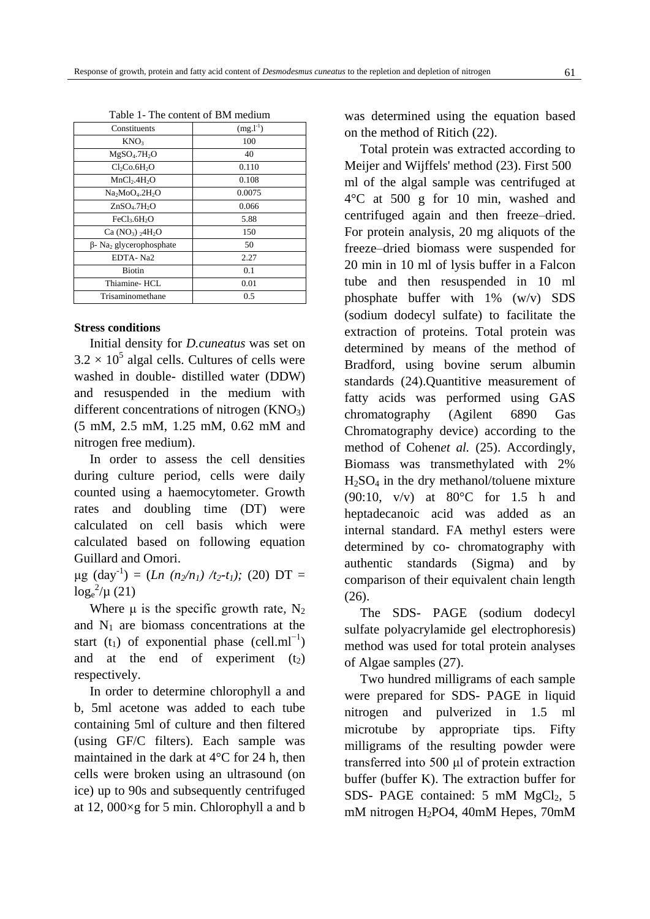| v<br>٠<br>۰        |  |
|--------------------|--|
| ٠<br>I<br>M.<br>۰, |  |

| Constituents                               | $(mg.l^{-1})$ |  |  |
|--------------------------------------------|---------------|--|--|
| KNO <sub>3</sub>                           | 100           |  |  |
| MgSO <sub>4</sub> .7H <sub>2</sub> O       | 40            |  |  |
| Cl <sub>2</sub> Co.6H <sub>2</sub> O       | 0.110         |  |  |
| MnCl <sub>2</sub> .4H <sub>2</sub> O       | 0.108         |  |  |
| $Na2MoO4$ .2H <sub>2</sub> O               | 0.0075        |  |  |
| ZnSO <sub>4</sub> .7H <sub>2</sub> O       | 0.066         |  |  |
| FeCl <sub>3</sub> .6H <sub>2</sub> O       | 5.88          |  |  |
| Ca $(NO_3)$ , $4H_2O$                      | 150           |  |  |
| $\beta$ - Na <sub>2</sub> glycerophosphate | 50            |  |  |
| EDTA-Na2                                   | 2.27          |  |  |
| Biotin                                     | 0.1           |  |  |
| Thiamine-HCL                               | 0.01          |  |  |
| Trisaminomethane                           | 0.5           |  |  |
|                                            |               |  |  |

| Table 1- The content of BM medium |  |
|-----------------------------------|--|
|-----------------------------------|--|

#### **Stress conditions**

Initial density for *D.cuneatus* was set on  $3.2 \times 10^5$  algal cells. Cultures of cells were washed in double- distilled water (DDW) and resuspended in the medium with different concentrations of nitrogen  $(KNO<sub>3</sub>)$ (5 mM, 2.5 mM, 1.25 mM, 0.62 mM and nitrogen free medium).

In order to assess the cell densities during culture period, cells were daily counted using a haemocytometer. Growth rates and doubling time (DT) were calculated on cell basis which were calculated based on following equation Guillard and Omori.

 $\mu$ g (day<sup>-1</sup>) = (*Ln* (*n*<sub>2</sub>/*n*<sub>*1*</sub>) /*t*<sub>2</sub>-*t*<sub>*1*</sub>); (20) DT =  $\log_{e}^{2}/\mu$  (21)

Where  $\mu$  is the specific growth rate, N<sub>2</sub> and  $N_1$  are biomass concentrations at the start (t<sub>1</sub>) of exponential phase (cell.ml<sup>-1</sup>) and at the end of experiment  $(t<sub>2</sub>)$ respectively.

In order to determine chlorophyll a and b, 5ml acetone was added to each tube containing 5ml of culture and then filtered (using GF/C filters). Each sample was maintained in the dark at 4°C for 24 h, then cells were broken using an ultrasound (on ice) up to 90s and subsequently centrifuged at 12, 000×g for 5 min. Chlorophyll a and b was determined using the equation based on the method of Ritich (22).

Total protein was extracted according to Meijer and Wijffels' method (23). First 500 ml of the algal sample was centrifuged at 4°C at 500 g for 10 min, washed and centrifuged again and then freeze–dried. For protein analysis, 20 mg aliquots of the freeze–dried biomass were suspended for 20 min in 10 ml of lysis buffer in a Falcon tube and then resuspended in 10 ml phosphate buffer with 1% (w/v) SDS (sodium dodecyl sulfate) to facilitate the extraction of proteins. Total protein was determined by means of the method of Bradford, using bovine serum albumin standards (24). Quantitive measurement of fatty acids was performed using GAS chromatography (Agilent 6890 Gas Chromatography device) according to the method of Cohen*et al.* (25). Accordingly, Biomass was transmethylated with 2%  $H_2SO_4$  in the dry methanol/toluene mixture (90:10, v/v) at 80°C for 1.5 h and heptadecanoic acid was added as an internal standard. FA methyl esters were determined by co- chromatography with authentic standards (Sigma) and by comparison of their equivalent chain length (26).

The SDS- PAGE (sodium dodecyl sulfate polyacrylamide gel electrophoresis) method was used for total protein analyses of Algae samples (27).

Two hundred milligrams of each sample were prepared for SDS- PAGE in liquid nitrogen and pulverized in 1.5 ml microtube by appropriate tips. Fifty milligrams of the resulting powder were transferred into 500 μl of protein extraction buffer (buffer K). The extraction buffer for SDS- PAGE contained:  $5 \text{ mM } MgCl<sub>2</sub>$ ,  $5 \text{ m}$ mM nitrogen H<sub>2</sub>PO4, 40mM Hepes, 70mM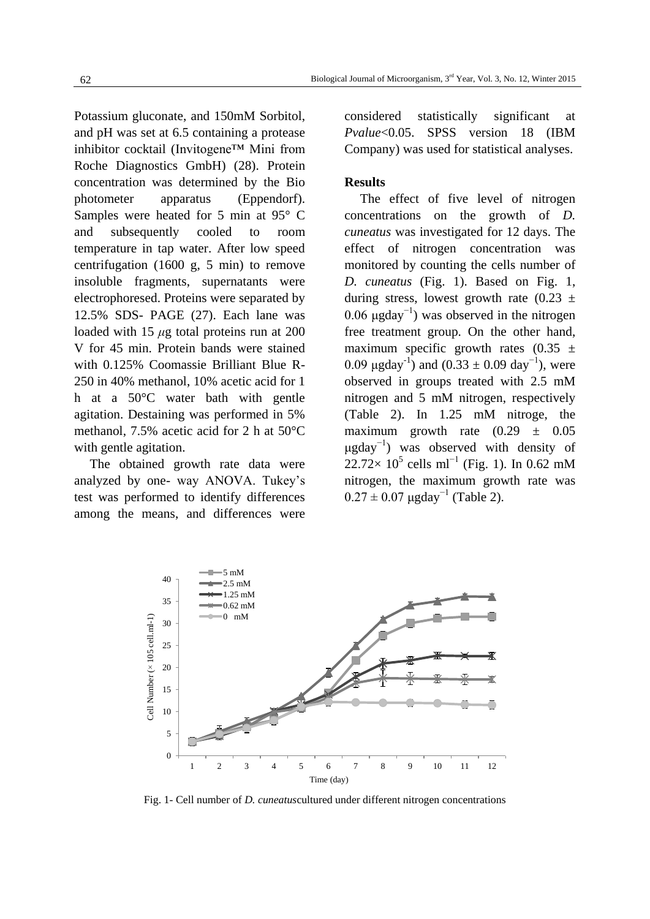Potassium gluconate, and 150mM Sorbitol, and pH was set at 6.5 containing a protease inhibitor cocktail (Invitogene™ Mini from Roche Diagnostics GmbH) (28). Protein concentration was determined by the Bio photometer apparatus (Eppendorf). Samples were heated for 5 min at 95° C and subsequently cooled to room temperature in tap water. After low speed centrifugation (1600 g, 5 min) to remove insoluble fragments, supernatants were electrophoresed. Proteins were separated by 12.5% SDS- PAGE (27). Each lane was loaded with 15 *μ*g total proteins run at 200 V for 45 min. Protein bands were stained with 0.125% Coomassie Brilliant Blue R-250 in 40% methanol, 10% acetic acid for 1 h at a 50°C water bath with gentle agitation. Destaining was performed in 5% methanol, 7.5% acetic acid for 2 h at 50°C with gentle agitation.

The obtained growth rate data were analyzed by one- way ANOVA. Tukey's test was performed to identify differences among the means, and differences were considered statistically significant at *Pvalue*<0.05. SPSS version 18 (IBM Company) was used for statistical analyses.

#### **Results**

The effect of five level of nitrogen concentrations on the growth of *D. cuneatus* was investigated for 12 days. The effect of nitrogen concentration was monitored by counting the cells number of *D. cuneatus* (Fig. 1). Based on Fig. 1, during stress, lowest growth rate  $(0.23 \pm 1)$ 0.06  $\mu$ gday<sup>-1</sup>) was observed in the nitrogen free treatment group. On the other hand, maximum specific growth rates  $(0.35 \pm$ 0.09  $\mu$ gday<sup>-1</sup>) and (0.33 ± 0.09 day<sup>-1</sup>), were observed in groups treated with 2.5 mM nitrogen and 5 mM nitrogen, respectively (Table 2). In 1.25 mM nitroge, the maximum growth rate  $(0.29 \pm 0.05$  $\mu$ gday<sup>-1</sup>) was observed with density of  $22.72 \times 10^5$  cells ml<sup>-1</sup> (Fig. 1). In 0.62 mM nitrogen, the maximum growth rate was  $0.27 \pm 0.07$   $\mu$ gday<sup>-1</sup> (Table 2).



Fig. 1- Cell number of *D. cuneatus*cultured under different nitrogen concentrations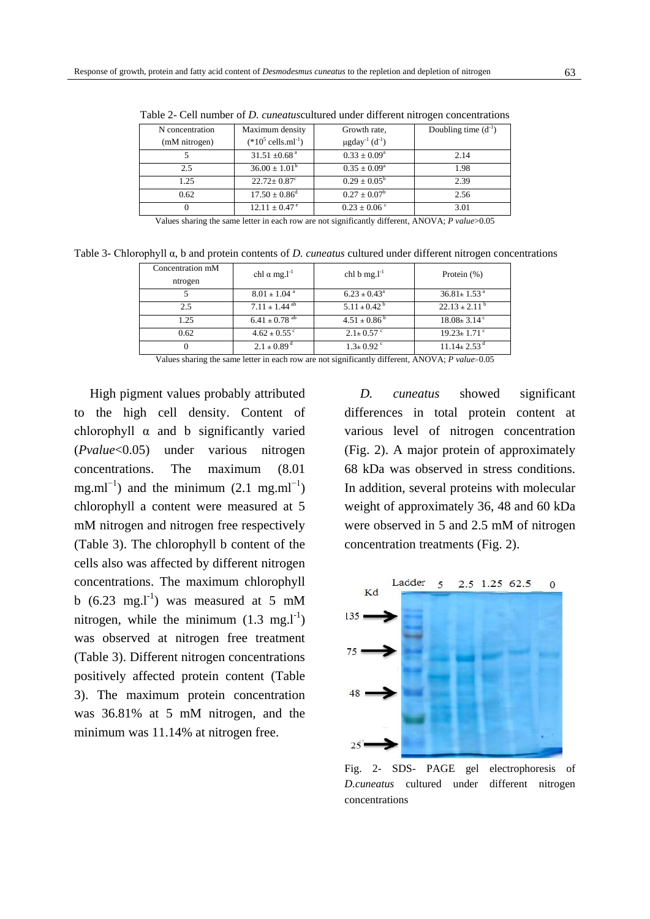| N concentration | Maximum density                 | Growth rate,                                | Doubling time $(d^{-1})$ |
|-----------------|---------------------------------|---------------------------------------------|--------------------------|
| (mM nitrogen)   | $(*10^5 \text{ cells.ml}^{-1})$ | $\mu$ gday <sup>-1</sup> (d <sup>-1</sup> ) |                          |
|                 | $31.51 \pm 0.68$ <sup>a</sup>   | $0.33 \pm 0.09^a$                           | 2.14                     |
| 2.5             | $36.00 \pm 1.01^b$              | $0.35 \pm 0.09^{\rm a}$                     | 1.98                     |
| 1.25            | $22.72 + 0.87^{\circ}$          | $0.29 \pm 0.05^{\rm b}$                     | 2.39                     |
| 0.62            | $17.50 \pm 0.86^{\rm d}$        | $0.27 \pm 0.07^b$                           | 2.56                     |
| $\theta$        | $12.11 \pm 0.47^{\circ}$        | $0.23 \pm 0.06$ °                           | 3.01                     |
|                 |                                 |                                             |                          |

Table 2- Cell number of *D. cuneatus*cultured under different nitrogen concentrations

Values sharing the same letter in each row are not significantly different, ANOVA; *P value*>0.05

Table 3- Chlorophyll α, b and protein contents of *D. cuneatus* cultured under different nitrogen concentrations

| Concentration mM<br>ntrogen | chl $\alpha$ mg. <sup>1-1</sup> | chl b mg. $l^{-1}$           | Protein $(\%)$                |
|-----------------------------|---------------------------------|------------------------------|-------------------------------|
|                             | $8.01 \pm 1.04$ <sup>a</sup>    | $6.23 \pm 0.43^{\circ}$      | $36.81 \pm 1.53$ <sup>a</sup> |
| 25                          | $7.11 \pm 1.44$ <sup>ab</sup>   | $5.11 \pm 0.42^{\mathrm{b}}$ | $22.13 \pm 2.11^{\circ}$      |
| 1.25                        | $6.41 \pm 0.78$ <sup>ab</sup>   | $4.51 \pm 0.86^{\circ}$      | $18.08 \pm 3.14$ <sup>c</sup> |
| 0.62                        | $4.62 \pm 0.55$ <sup>c</sup>    | $2.1 \pm 0.57$ °             | $19.23 \pm 1.71$ <sup>c</sup> |
|                             | $2.1 \pm 0.89$ <sup>d</sup>     | $1.3 \pm 0.92$ <sup>c</sup>  | $11.14 \pm 2.53$ <sup>d</sup> |

Values sharing the same letter in each row are not significantly different, ANOVA; *P value*<0.05

High pigment values probably attributed to the high cell density. Content of chlorophyll  $\alpha$  and b significantly varied (*Pvalue*<0.05) under various nitrogen concentrations. The maximum (8.01 mg.ml<sup> $-1$ </sup>) and the minimum (2.1 mg.ml<sup> $-1$ </sup>) chlorophyll a content were measured at 5 mM nitrogen and nitrogen free respectively (Table 3). The chlorophyll b content of the cells also was affected by different nitrogen concentrations. The maximum chlorophyll b  $(6.23 \text{ mg.} \text{J}^{-1})$  was measured at 5 mM nitrogen, while the minimum  $(1.3 \text{ mg.} \text{m}^1)$ was observed at nitrogen free treatment (Table 3). Different nitrogen concentrations positively affected protein content (Table 3). The maximum protein concentration was 36.81% at 5 mM nitrogen, and the minimum was 11.14% at nitrogen free.

*D. cuneatus* showed significant differences in total protein content at various level of nitrogen concentration (Fig. 2). A major protein of approximately 68 kDa was observed in stress conditions. In addition, several proteins with molecular weight of approximately 36, 48 and 60 kDa were observed in 5 and 2.5 mM of nitrogen concentration treatments (Fig. 2).



Fig. 2*-* SDS- PAGE gel electrophoresis of *D.cuneatus* cultured under different nitrogen concentrations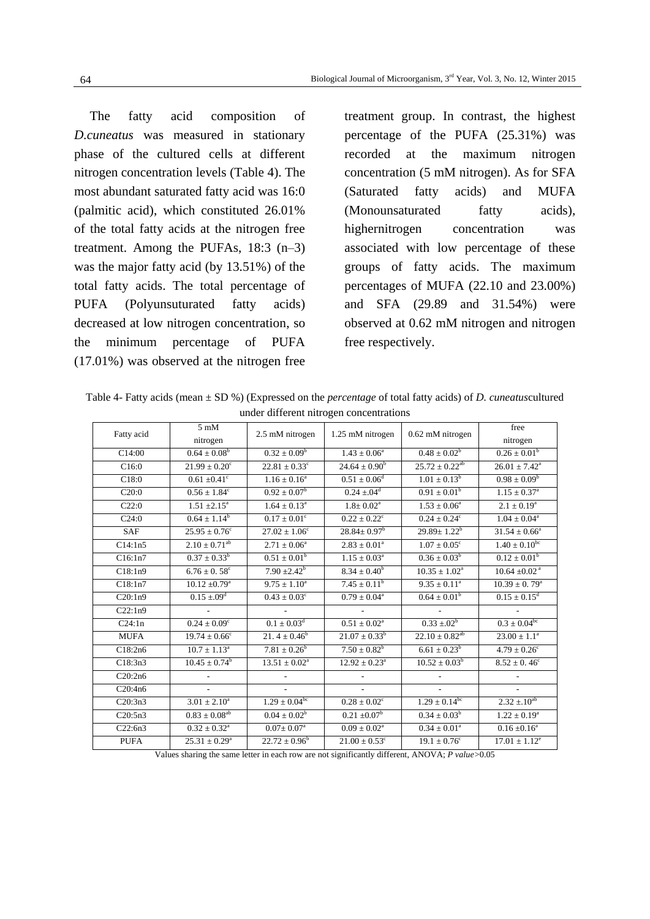The fatty acid composition of *D.cuneatus* was measured in stationary phase of the cultured cells at different nitrogen concentration levels (Table 4). The most abundant saturated fatty acid was 16:0 (palmitic acid), which constituted 26.01% of the total fatty acids at the nitrogen free treatment. Among the PUFAs, 18:3 (n–3) was the major fatty acid (by 13.51%) of the total fatty acids. The total percentage of PUFA (Polyunsuturated fatty acids) decreased at low nitrogen concentration, so the minimum percentage of PUFA (17.01%) was observed at the nitrogen free

treatment group. In contrast, the highest percentage of the PUFA (25.31%) was recorded at the maximum nitrogen concentration (5 mM nitrogen). As for SFA (Saturated fatty acids) and MUFA (Monounsaturated fatty acids), highernitrogen concentration was associated with low percentage of these groups of fatty acids. The maximum percentages of MUFA (22.10 and 23.00%) and SFA (29.89 and 31.54%) were observed at 0.62 mM nitrogen and nitrogen free respectively.

Table 4- Fatty acids (mean ± SD %) (Expressed on the *percentage* of total fatty acids) of *D. cuneatus*cultured under different nitrogen concentrations

| Fatty acid  | $5 \text{ mM}$<br>nitrogen   | 2.5 mM nitrogen               | 1.25 mM nitrogen              | 0.62 mM nitrogen        | free<br>nitrogen              |
|-------------|------------------------------|-------------------------------|-------------------------------|-------------------------|-------------------------------|
| C14:00      | $0.64 \pm 0.08^b$            | $0.32 \pm 0.09^b$             | $1.43 \pm 0.06^a$             | $0.48 \pm 0.02^b$       | $0.26 \pm 0.01^b$             |
| C16:0       | $21.99\pm0.20^{\circ}$       | $22.81 \pm 0.33$ <sup>c</sup> | $24.64 \pm 0.90^b$            | $25.72 \pm 0.22^{ab}$   | $26.01 \pm 7.42^a$            |
| C18:0       | $0.61 \pm 0.41$ °            | $1.16 \pm 0.16^a$             | $0.51 \pm 0.06^d$             | $1.01 \pm 0.13^b$       | $0.98 \pm 0.09^b$             |
| C20:0       | $0.56 \pm 1.84^c$            | $0.92 \pm 0.07^b$             | $0.24 \pm .04^d$              | $0.91 \pm 0.01^b$       | $1.15 \pm 0.37^{\circ}$       |
| C22:0       | $1.51 \pm 2.15^a$            | $1.64 \pm 0.13^a$             | $1.8 \pm 0.02^a$              | $1.53 \pm 0.06^a$       | $2.1 \pm 0.19^a$              |
| C24:0       | $0.64 \pm 1.14^b$            | $0.17 \pm 0.01^{\circ}$       | $0.22 \pm 0.22^{\circ}$       | $0.24 \pm 0.24^c$       | $1.04 \pm 0.04^a$             |
| <b>SAF</b>  | $25.95 \pm 0.76^c$           | $27.02 \pm 1.06^{\circ}$      | $28.84 \pm 0.97^b$            | $29.89 \pm 1.22^b$      | $31.54 \pm 0.66^a$            |
| C14:1n5     | $2.10 \pm 0.71^{ab}$         | $2.71 \pm 0.06^a$             | $2.83 \pm 0.01^a$             | $1.07 \pm 0.05^c$       | $1.40 \pm 0.10^{bc}$          |
| C16:1n7     | $0.37 \pm 0.33^b$            | $0.51 \pm 0.01^b$             | $1.15 \pm 0.03^a$             | $0.36 \pm 0.03^b$       | $0.12 \pm 0.01^b$             |
| C18:1n9     | $6.76 \pm 0.58$ <sup>c</sup> | $7.90 \pm 2.42^b$             | $8.34 \pm 0.40^b$             | $10.35 \pm 1.02^a$      | $10.64 \pm 0.02$ <sup>a</sup> |
| C18:1n7     | $10.12 \pm 0.79^{\rm a}$     | $9.75 \pm 1.10^a$             | $7.45 \pm 0.11^b$             | $9.35\pm0.11^{\rm a}$   | $10.39 \pm 0.79^{\text{a}}$   |
| C20:1n9     | $0.15 \pm .09$ <sup>d</sup>  | $0.43 \pm 0.03^{\circ}$       | $0.79 \pm 0.04^a$             | $0.64 \pm 0.01^b$       | $0.15 \pm 0.15^d$             |
| C22:1n9     |                              |                               |                               |                         |                               |
| C24:1n      | $0.24 \pm 0.09^{\circ}$      | $0.1 \pm 0.03^d$              | $0.51\pm0.02^{\rm a}$         | $0.33 \pm 0.02^b$       | $0.3 \pm 0.04^{bc}$           |
| <b>MUFA</b> | $19.74 \pm 0.66^{\circ}$     | 21. $4 \pm 0.46^b$            | $21.07 \pm 0.33^b$            | $22.10 \pm 0.82^{ab}$   | $23.00 \pm 1.1^a$             |
| C18:2n6     | $10.7 \pm 1.13^a$            | $7.81 \pm 0.26^b$             | $7.50 \pm 0.82^b$             | $6.61 \pm 0.23^b$       | $4.79 \pm 0.26^{\circ}$       |
| C18:3n3     | $10.45 \pm 0.74^b$           | $13.51 \pm 0.02^a$            | $12.92\pm0.23^{\rm a}$        | $10.52 \pm 0.03^b$      | $8.52 \pm 0.46^c$             |
| C20:2n6     |                              | $\overline{a}$                |                               |                         |                               |
| C20:4n6     |                              | $\overline{a}$                |                               |                         |                               |
| C20:3n3     | $3.01\pm2.10^{\rm a}$        | $1.29 \pm 0.04^{bc}$          | $0.28 \pm 0.02^c$             | $1.29 \pm 0.14^{bc}$    | $2.32 \pm 10^{ab}$            |
| C20:5n3     | $0.83 \pm 0.08^{ab}$         | $0.04 \pm 0.02^b$             | $0.21 \pm 0.07^b$             | $0.34 \pm 0.03^b$       | $1.22 \pm 0.19^a$             |
| C22:6n3     | $0.32 \pm 0.32^a$            | $0.07 \pm 0.07^{\text{a}}$    | $0.09 \pm 0.02^{\text{a}}$    | $0.34 \pm 0.01^a$       | $0.16 \pm 0.16^a$             |
| <b>PUFA</b> | $25.31 \pm 0.29^{\text{a}}$  | $22.72 \pm 0.96^b$            | $21.00 \pm 0.53$ <sup>c</sup> | $19.1 \pm 0.76^{\circ}$ | $17.01 \pm 1.12^e$            |

Values sharing the same letter in each row are not significantly different, ANOVA; *P value*>0.05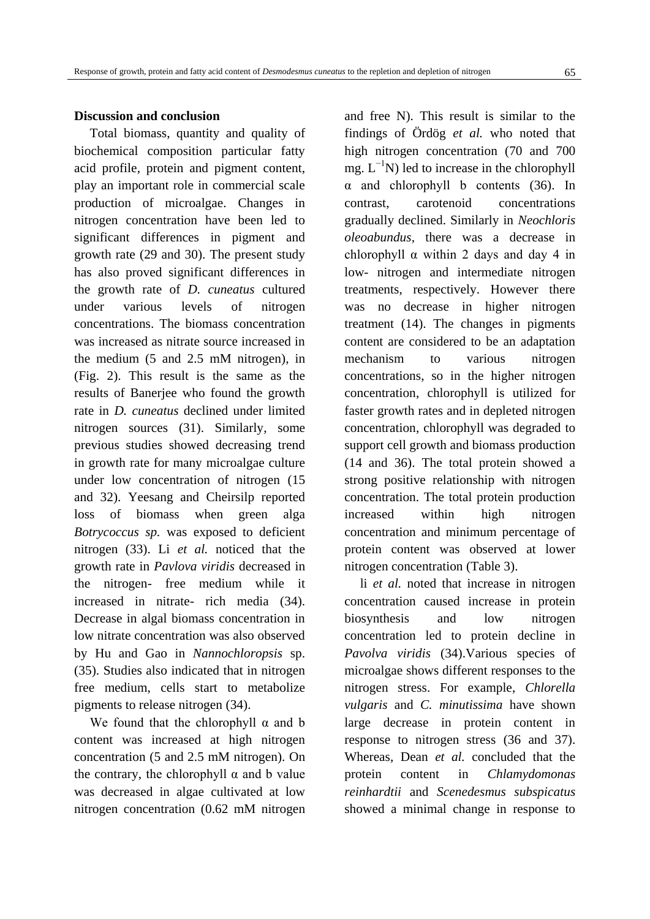Total biomass, quantity and quality of biochemical composition particular fatty acid profile, protein and pigment content, play an important role in commercial scale production of microalgae. Changes in nitrogen concentration have been led to significant differences in pigment and growth rate (29 and 30). The present study has also proved significant differences in the growth rate of *D. cuneatus* cultured under various levels of nitrogen concentrations. The biomass concentration was increased as nitrate source increased in the medium (5 and 2.5 mM nitrogen), in (Fig. 2). This result is the same as the results of Banerjee who found the growth rate in *D. cuneatus* declined under limited nitrogen sources (31). Similarly, some previous studies showed decreasing trend in growth rate for many microalgae culture under low concentration of nitrogen (15 and 32). Yeesang and Cheirsilp reported loss of biomass when green alga *Botrycoccus sp.* was exposed to deficient nitrogen (33). Li *et al.* noticed that the growth rate in *Pavlova viridis* decreased in the nitrogen- free medium while it increased in nitrate- rich media (34). Decrease in algal biomass concentration in low nitrate concentration was also observed by Hu and Gao in *Nannochloropsis* sp. (35). Studies also indicated that in nitrogen free medium, cells start to metabolize pigments to release nitrogen (34).

We found that the chlorophyll  $\alpha$  and b content was increased at high nitrogen concentration (5 and 2.5 mM nitrogen). On the contrary, the chlorophyll  $\alpha$  and b value was decreased in algae cultivated at low nitrogen concentration (0.62 mM nitrogen and free N). This result is similar to the findings of Ördög *et al.* who noted that high nitrogen concentration (70 and 700 mg.  $L^{-1}N$ ) led to increase in the chlorophyll  $\alpha$  and chlorophyll b contents (36). In contrast, carotenoid concentrations gradually declined. Similarly in *Neochloris oleoabundus,* there was a decrease in chlorophyll  $\alpha$  within 2 days and day 4 in low- nitrogen and intermediate nitrogen treatments, respectively. However there was no decrease in higher nitrogen treatment (14). The changes in pigments content are considered to be an adaptation mechanism to various nitrogen concentrations, so in the higher nitrogen concentration, chlorophyll is utilized for faster growth rates and in depleted nitrogen concentration, chlorophyll was degraded to support cell growth and biomass production (14 and 36). The total protein showed a strong positive relationship with nitrogen concentration. The total protein production increased within high nitrogen concentration and minimum percentage of protein content was observed at lower nitrogen concentration (Table 3).

li *et al.* noted that increase in nitrogen concentration caused increase in protein biosynthesis and low nitrogen concentration led to protein decline in *Pavolva viridis* (34).Various species of microalgae shows different responses to the nitrogen stress. For example, *Chlorella vulgaris* and *C. minutissima* have shown large decrease in protein content in response to nitrogen stress (36 and 37). Whereas, Dean *et al.* concluded that the protein content in *Chlamydomonas reinhardtii* and *Scenedesmus subspicatus* showed a minimal change in response to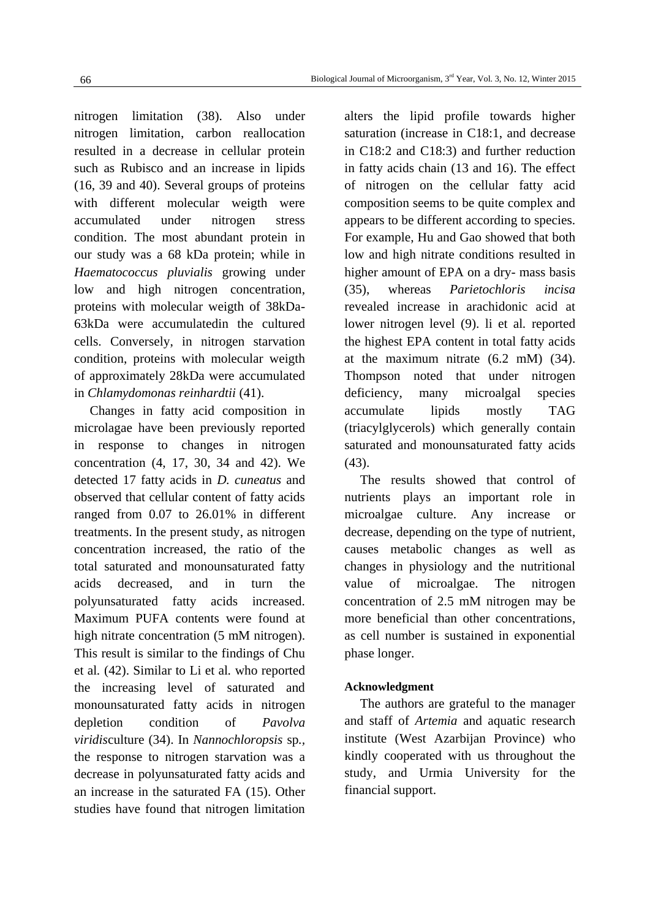nitrogen limitation (38). Also under nitrogen limitation, carbon reallocation resulted in a decrease in cellular protein such as Rubisco and an increase in lipids (16, 39 and 40). Several groups of proteins with different molecular weigth were accumulated under nitrogen stress condition. The most abundant protein in our study was a 68 kDa protein; while in *Haematococcus pluvialis* growing under low and high nitrogen concentration, proteins with molecular weigth of 38kDa-63kDa were accumulatedin the cultured cells. Conversely, in nitrogen starvation condition, proteins with molecular weigth of approximately 28kDa were accumulated in *Chlamydomonas reinhardtii* (41).

Changes in fatty acid composition in microlagae have been previously reported in response to changes in nitrogen concentration (4, 17, 30, 34 and 42). We detected 17 fatty acids in *D. cuneatus* and observed that cellular content of fatty acids ranged from 0.07 to 26.01% in different treatments. In the present study, as nitrogen concentration increased, the ratio of the total saturated and monounsaturated fatty acids decreased, and in turn the polyunsaturated fatty acids increased. Maximum PUFA contents were found at high nitrate concentration (5 mM nitrogen). This result is similar to the findings of Chu et al*.* (42). Similar to Li et al*.* who reported the increasing level of saturated and monounsaturated fatty acids in nitrogen depletion condition of *Pavolva viridis*culture (34). In *Nannochloropsis* sp*.,*  the response to nitrogen starvation was a decrease in polyunsaturated fatty acids and an increase in the saturated FA (15). Other studies have found that nitrogen limitation alters the lipid profile towards higher saturation (increase in C18:1, and decrease in C18:2 and C18:3) and further reduction in fatty acids chain (13 and 16). The effect of nitrogen on the cellular fatty acid composition seems to be quite complex and appears to be different according to species. For example, Hu and Gao showed that both low and high nitrate conditions resulted in higher amount of EPA on a dry- mass basis (35), whereas *Parietochloris incisa* revealed increase in arachidonic acid at lower nitrogen level (9). li et al*.* reported the highest EPA content in total fatty acids at the maximum nitrate (6.2 mM) (34). Thompson noted that under nitrogen deficiency, many microalgal species accumulate lipids mostly TAG (triacylglycerols) which generally contain saturated and monounsaturated fatty acids (43).

The results showed that control of nutrients plays an important role in microalgae culture. Any increase or decrease, depending on the type of nutrient, causes metabolic changes as well as changes in physiology and the nutritional value of microalgae. The nitrogen concentration of 2.5 mM nitrogen may be more beneficial than other concentrations, as cell number is sustained in exponential phase longer.

#### **Acknowledgment**

The authors are grateful to the manager and staff of *Artemia* and aquatic research institute (West Azarbijan Province) who kindly cooperated with us throughout the study, and Urmia University for the financial support.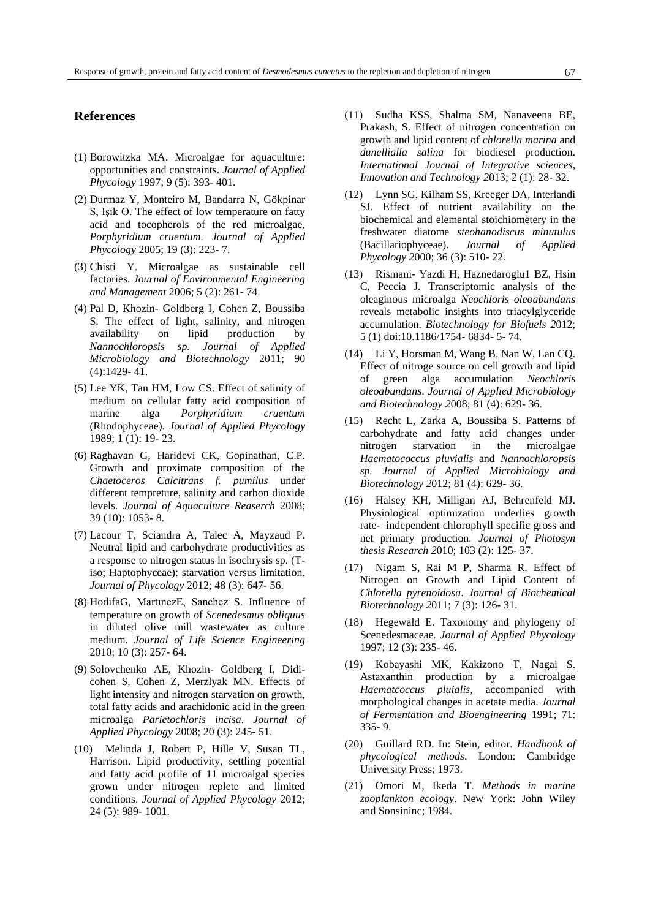#### **References**

- (1) Borowitzka MA. Microalgae for aquaculture: opportunities and constraints. *Journal of Applied Phycology* 1997; 9 (5): 393- 401.
- (2) Durmaz Y, Monteiro M, Bandarra N, Gökpinar S, Işik O. The effect of low temperature on fatty acid and tocopherols of the red microalgae, *Porphyridium cruentum. Journal of Applied Phycology* 2005; 19 (3): 223- 7.
- (3) Chisti Y. Microalgae as sustainable cell factories. *Journal of Environmental Engineering and Management* 2006; 5 (2): 261- 74.
- (4) Pal D, Khozin- Goldberg I, Cohen Z, Boussiba S. The effect of light, salinity, and nitrogen availability on lipid production by *Nannochloropsis sp. Journal of Applied Microbiology and Biotechnology* 2011; 90 (4):1429- 41.
- (5) Lee YK, Tan HM, Low CS. Effect of salinity of medium on cellular fatty acid composition of marine alga *Porphyridium cruentum* (Rhodophyceae). *Journal of Applied Phycol*o*gy* 1989; 1 (1): 19- 23.
- (6) Raghavan G, Haridevi CK, Gopinathan, C.P. Growth and proximate composition of the *Chaetoceros Calcitrans f. pumilus* under different tempreture, salinity and carbon dioxide levels. *Journal of Aquaculture Reaserch* 2008; 39 (10): 1053- 8.
- (7) Lacour T, Sciandra A, Talec A, Mayzaud P. Neutral lipid and carbohydrate productivities as a response to nitrogen status in isochrysis sp. (Tiso; Haptophyceae): starvation versus limitation. *Journal of Phycology* 2012; 48 (3): 647- 56.
- (8) HodifaG, MartınezE, Sanchez S. Influence of temperature on growth of *Scenedesmus obliquus* in diluted olive mill wastewater as culture medium. *Journal of Life Science Engineering*  2010; 10 (3): 257- 64.
- (9) Solovchenko AE, Khozin- Goldberg I, Didicohen S, Cohen Z, Merzlyak MN. Effects of light intensity and nitrogen starvation on growth, total fatty acids and arachidonic acid in the green microalga *Parietochloris incisa*. *Journal of Applied Phycology* 2008; 20 (3): 245- 51.
- (10) Melinda J, Robert P, Hille V, Susan TL, Harrison. Lipid productivity, settling potential and fatty acid profile of 11 microalgal species grown under nitrogen replete and limited conditions. *Journal of Applied Phycology* 2012; 24 (5): 989- 1001.
- (11) Sudha KSS, Shalma SM, Nanaveena BE, Prakash, S. Effect of nitrogen concentration on growth and lipid content of *chlorella marina* and *dunellialla salina* for biodiesel production. *International Journal of Integrative sciences*, *Innovation and Technology 2*013; 2 (1): 28- 32.
- (12) Lynn SG, Kilham SS, Kreeger DA, Interlandi SJ. Effect of nutrient availability on the biochemical and elemental stoichiometery in the freshwater diatome *steohanodiscus minutulus* (Bacillariophyceae). *Journal of Applied Phycology 2*000; 36 (3): 510- 22.
- (13) Rismani- Yazdi H, Haznedaroglu1 BZ, Hsin C, Peccia J. Transcriptomic analysis of the oleaginous microalga *Neochloris oleoabundans* reveals metabolic insights into triacylglyceride accumulation. *[Biotechnology for Biofuels](http://www.ncbi.nlm.nih.gov/pubmed/23006831) 2*012; 5 (1) doi:10.1186/1754- 6834- 5- 74.
- (14) Li Y, Horsman M, Wang B, Nan W, Lan CQ. Effect of nitroge source on cell growth and lipid of green alga accumulation *Neochloris oleoabundans*. *Journal of Applied Microbiology and Biotechnology 2*008; 81 (4): 629- 36.
- (15) Recht L, Zarka A, Boussiba S. Patterns of carbohydrate and fatty acid changes under nitrogen starvation in the microalgae *Haematococcus pluvialis* and *Nannochloropsis sp. Journal of Applied Microbiology and Biotechnology 2*012; 81 (4): 629- 36.
- (16) Halsey KH, Milligan AJ, Behrenfeld MJ. Physiological optimization underlies growth rate- independent chlorophyll specific gross and net primary production*. Journal of Photosyn thesis Research 2*010; 103 (2): 125- 37.
- (17) Nigam S, Rai M P, Sharma R. Effect of Nitrogen on Growth and Lipid Content of *Chlorella pyrenoidosa*. *Journal of Biochemical Biotechnology 2*011; 7 (3): 126- 31.
- (18) Hegewald E. Taxonomy and phylogeny of Scenedesmaceae. *Journal of Applied Phycology* 1997; 12 (3): 235- 46.
- (19) Kobayashi MK, Kakizono T, Nagai S. Astaxanthin production by a microalgae *Haematcoccus pluialis,* accompanied with morphological changes in acetate media. *Journal of Fermentation and Bioengineering* 1991; 71: 335- 9.
- (20) Guillard RD. In: Stein, editor. *Handbook of phycological methods*. London: Cambridge University Press; 1973.
- (21) Omori M, Ikeda T. *Methods in marine zooplankton ecology*. New York: John Wiley and Sonsininc; 1984.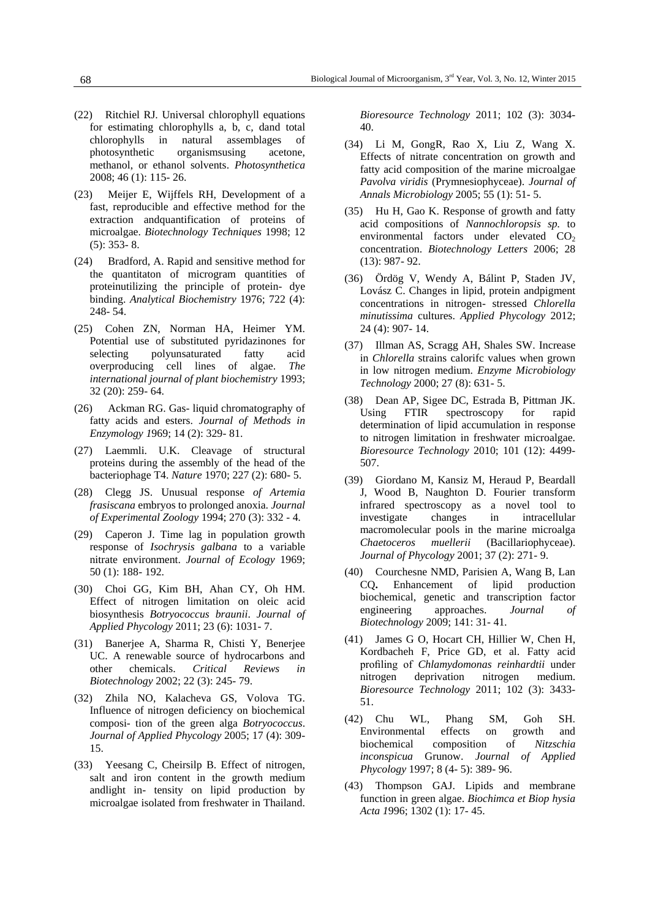- (22) Ritchiel RJ. Universal chlorophyll equations for estimating chlorophylls a, b, c*,* dand total chlorophylls in natural assemblages of photosynthetic organismsusing acetone, methanol, or ethanol solvents. *Photosynthetica* 2008; 46 (1): 115- 26.
- (23) Meijer E, Wijffels RH, Development of a fast, reproducible and effective method for the extraction andquantification of proteins of microalgae. *Biotechnology Techniques* 1998; 12 (5): 353- 8.
- (24) Bradford, A. Rapid and sensitive method for the quantitaton of microgram quantities of proteinutilizing the principle of protein- dye binding. *Analytical Biochemistry* 1976; 722 (4): 248- 54.
- (25) Cohen ZN, Norman HA, Heimer YM. Potential use of substituted pyridazinones for selecting polyunsaturated fatty acid overproducing cell lines of algae. *The international journal of plant biochemistry* 1993; 32 (20): 259- 64.
- (26) Ackman RG. Gas- liquid chromatography of fatty acids and esters. *Journal of Methods in Enzymology 1*969; 14 (2): 329- 81.
- (27) Laemmli. U.K. Cleavage of structural proteins during the assembly of the head of the bacteriophage T4. *Nature* 1970; 227 (2): 680- 5.
- (28) Clegg JS. Unusual response *of Artemia frasiscana* embryos to prolonged anoxia. *Journal of Experimental Zoology* 1994; 270 (3): 332 - 4*.*
- (29) Caperon J. Time lag in population growth response of *Isochrysis galbana* to a variable nitrate environment. *Journal of Ecology* 1969; 50 (1): 188- 192.
- (30) Choi GG, Kim BH, Ahan CY, Oh HM. Effect of nitrogen limitation on oleic acid biosynthesis *Botryococcus braunii*. *Journal of Applied Phycology* 2011; 23 (6): 1031- 7.
- (31) Banerjee A, Sharma R, Chisti Y, Benerjee UC. A renewable source of hydrocarbons and other chemicals. *Critical Reviews in Biotechnology* 2002; 22 (3): 245- 79.
- (32) Zhila NO, Kalacheva GS, Volova TG. Influence of nitrogen deficiency on biochemical composi- tion of the green alga *Botryococcus*. *Journal of Applied Phycology* 2005; 17 (4): 309- 15.
- (33) Yeesang C, Cheirsilp B. Effect of nitrogen, salt and iron content in the growth medium andlight in- tensity on lipid production by microalgae isolated from freshwater in Thailand.

*Bioresource Technology* 2011; 102 (3): 3034- 40.

- (34) Li M, GongR, Rao X, Liu Z, Wang X. Effects of nitrate concentration on growth and fatty acid composition of the marine microalgae *Pavolva viridis* (Prymnesiophyceae). *Journal of Annals Microbiology* 2005; 55 (1): 51- 5.
- (35) Hu H, Gao K. Response of growth and fatty acid compositions of *Nannochloropsis sp.* to environmental factors under elevated  $CO<sub>2</sub>$ concentration. *Biotechnology Letters* 2006; 28 (13): 987- 92.
- (36) Ördög V, Wendy A, Bálint P, Staden JV, Lovász C. Changes in lipid, protein andpigment concentrations in nitrogen- stressed *Chlorella minutissima* cultures. *Applied Phycology* 2012; 24 (4): 907- 14.
- (37) Illman AS, Scragg AH, Shales SW. Increase in *Chlorella* strains calorifc values when grown in low nitrogen medium. *Enzyme Microbiology Technology* 2000; 27 (8): 631- 5.
- (38) Dean AP, Sigee DC, Estrada B, Pittman JK. Using FTIR spectroscopy for rapid determination of lipid accumulation in response to nitrogen limitation in freshwater microalgae. *Bioresource Technology* 2010; 101 (12): 4499- 507.
- (39) Giordano M, Kansiz M, Heraud P, Beardall J, Wood B, Naughton D. Fourier transform infrared spectroscopy as a novel tool to investigate changes in intracellular macromolecular pools in the marine microalga *Chaetoceros muellerii* (Bacillariophyceae). *Journal of Phycology* 2001; 37 (2): 271- 9.
- (40) Courchesne NMD, Parisien A, Wang B, Lan CQ**.** Enhancement of lipid production biochemical, genetic and transcription factor engineering approaches. *Journal of Biotechnology* 2009; 141: 31- 41*.*
- (41) James G O, Hocart CH, Hillier W, Chen H, Kordbacheh F, Price GD, et al. Fatty acid profiling of *Chlamydomonas reinhardtii* under nitrogen deprivation nitrogen medium. *Bioresource Technology* 2011; 102 (3): 3433- 51.
- (42) Chu WL, Phang SM, Goh SH. Environmental effects on growth and biochemical composition of *Nitzschia inconspicua* Grunow. *Journal of Applied Phycology* 1997; 8 (4- 5): 389- 96.
- (43) Thompson GAJ. Lipids and membrane function in green algae. *Biochimca et Biop hysia Acta 1*996; 1302 (1): 17- 45.